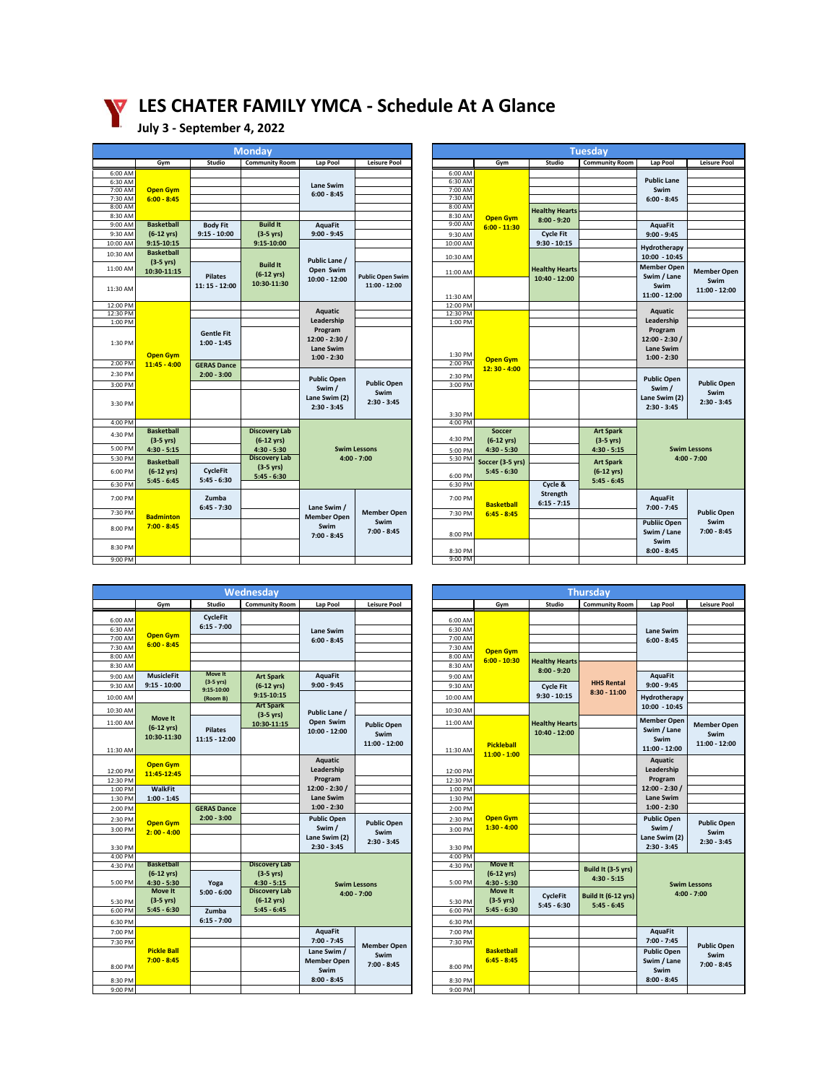# **LES CHATER FAMILY YMCA - Schedule At A Glance**

## **July 3 - September 4, 2022**

|           |                      |                    | <u>Mon</u> day        |                    |                         |                    |  |  |  |  |
|-----------|----------------------|--------------------|-----------------------|--------------------|-------------------------|--------------------|--|--|--|--|
|           | Gym                  | Studio             | <b>Community Room</b> | Lap Pool           | <b>Leisure Pool</b>     |                    |  |  |  |  |
| 6:00 AM   |                      |                    |                       |                    |                         | 6:00 AM            |  |  |  |  |
| 6:30 AM   |                      |                    |                       | Lane Swim          |                         | 6:30 AM            |  |  |  |  |
| $7:00$ AM | <b>Open Gym</b>      |                    |                       | $6:00 - 8:45$      |                         | 7:00 AM            |  |  |  |  |
| 7:30 AM   | $6:00 - 8:45$        |                    |                       |                    |                         | 7:30 AM            |  |  |  |  |
| 8:00 AM   |                      |                    |                       |                    |                         | 8:00 AM            |  |  |  |  |
| 8:30 AM   |                      |                    |                       |                    |                         | 8:30 AM            |  |  |  |  |
| 9:00 AM   | <b>Basketball</b>    | <b>Body Fit</b>    | <b>Build It</b>       | <b>AquaFit</b>     |                         | 9:00 AM            |  |  |  |  |
| 9:30 AM   | $(6-12 \text{ yrs})$ | $9:15 - 10:00$     | $(3-5 \text{ yrs})$   | $9:00 - 9:45$      |                         | 9:30 AM            |  |  |  |  |
| 10:00 AM  | 9:15-10:15           |                    | 9:15-10:00            |                    |                         | 10:00 AM           |  |  |  |  |
| 10:30 AM  | <b>Basketball</b>    |                    |                       |                    |                         | 10:30 AM           |  |  |  |  |
|           | $(3-5 \text{ yrs})$  |                    | <b>Build It</b>       | Public Lane /      |                         |                    |  |  |  |  |
| 11:00 AM  | 10:30-11:15          |                    | $(6-12 \text{ yrs})$  | Open Swim          |                         | 11:00 AM           |  |  |  |  |
|           |                      | <b>Pilates</b>     | 10:30-11:30           | 10:00 - 12:00      | <b>Public Open Swim</b> |                    |  |  |  |  |
| 11:30 AM  |                      | 11: 15 - 12:00     |                       |                    | 11:00 - 12:00           |                    |  |  |  |  |
|           |                      |                    |                       |                    |                         | 11:30 AM           |  |  |  |  |
| 12:00 PM  |                      |                    |                       |                    |                         | 12:00 PM           |  |  |  |  |
| 12:30 PM  |                      |                    |                       | <b>Aquatic</b>     |                         | 12:30 PM           |  |  |  |  |
| 1:00 PM   |                      |                    |                       | Leadership         |                         | 1:00 PM            |  |  |  |  |
|           |                      | <b>Gentle Fit</b>  |                       | Program            |                         |                    |  |  |  |  |
| 1:30 PM   |                      | $1:00 - 1:45$      |                       | $12:00 - 2:30/$    |                         |                    |  |  |  |  |
|           |                      |                    |                       | Lane Swim          |                         |                    |  |  |  |  |
| 2:00 PM   | <b>Open Gym</b>      |                    |                       | $1:00 - 2:30$      |                         | 1:30 PM<br>2:00 PM |  |  |  |  |
|           | $11:45 - 4:00$       | <b>GERAS Dance</b> |                       |                    |                         |                    |  |  |  |  |
| 2:30 PM   |                      | $2:00 - 3:00$      |                       | <b>Public Open</b> |                         | 2:30 PM            |  |  |  |  |
| 3:00 PM   |                      |                    |                       | Swim /             | <b>Public Open</b>      | 3:00 PM            |  |  |  |  |
|           |                      |                    |                       | Lane Swim (2)      | Swim                    |                    |  |  |  |  |
| 3:30 PM   |                      |                    |                       | $2:30 - 3:45$      | $2:30 - 3:45$           |                    |  |  |  |  |
|           |                      |                    |                       |                    |                         | 3:30 PM            |  |  |  |  |
| 4:00 PM   |                      |                    |                       |                    |                         | 4:00 PM            |  |  |  |  |
| 4:30 PM   | <b>Basketball</b>    |                    | <b>Discovery Lab</b>  |                    |                         |                    |  |  |  |  |
|           | $(3-5 \text{ yrs})$  |                    | $(6-12 \text{ yrs})$  |                    |                         | 4:30 PM            |  |  |  |  |
| 5:00 PM   | $4:30 - 5:15$        |                    | $4:30 - 5:30$         |                    | <b>Swim Lessons</b>     | 5:00 PM            |  |  |  |  |
| 5:30 PM   | <b>Basketball</b>    |                    | <b>Discovery Lab</b>  |                    | $4:00 - 7:00$           | 5:30 PM            |  |  |  |  |
| 6:00 PM   | $(6-12 \text{ yrs})$ | <b>CycleFit</b>    | $(3-5 \text{ yrs})$   |                    |                         |                    |  |  |  |  |
|           | $5:45 - 6:45$        | $5:45 - 6:30$      | $5:45 - 6:30$         |                    |                         | 6:00 PM            |  |  |  |  |
| 6:30 PM   |                      |                    |                       |                    |                         | 6:30 PM            |  |  |  |  |
| 7:00 PM   |                      | Zumba              |                       |                    |                         | 7:00 PM            |  |  |  |  |
|           |                      | $6:45 - 7:30$      |                       | Lane Swim /        |                         |                    |  |  |  |  |
| 7:30 PM   | <b>Badminton</b>     |                    |                       | <b>Member Open</b> | <b>Member Open</b>      | 7:30 PM            |  |  |  |  |
| 8:00 PM   | $7:00 - 8:45$        |                    |                       | Swim               | Swim                    |                    |  |  |  |  |
|           |                      |                    |                       | $7:00 - 8:45$      | $7:00 - 8:45$           | 8:00 PM            |  |  |  |  |
| 8:30 PM   |                      |                    |                       |                    |                         |                    |  |  |  |  |
|           |                      |                    |                       |                    |                         | 8:30 PM            |  |  |  |  |
| 9:00 PM   |                      |                    |                       |                    |                         | 9:00 PM            |  |  |  |  |

|             | <b>Monday</b>      |                       |                            |                         |  | <b>Tuesday</b> |                      |                                        |                       |                                   |                     |
|-------------|--------------------|-----------------------|----------------------------|-------------------------|--|----------------|----------------------|----------------------------------------|-----------------------|-----------------------------------|---------------------|
| Gym         | Studio             | <b>Community Room</b> | Lap Pool                   | <b>Leisure Pool</b>     |  |                | Gym                  | Studio                                 | <b>Community Room</b> | Lap Pool                          | <b>Leisure Pool</b> |
|             |                    |                       |                            |                         |  | 6:00 AM        |                      |                                        |                       |                                   |                     |
|             |                    |                       | Lane Swim                  |                         |  | 6:30 AM        |                      |                                        |                       | <b>Public Lane</b>                |                     |
| en Gym      |                    |                       | $6:00 - 8:45$              |                         |  | 7:00 AM        |                      |                                        |                       | Swim                              |                     |
| $0 - 8:45$  |                    |                       |                            |                         |  | 7:30 AM        |                      |                                        |                       | $6:00 - 8:45$                     |                     |
|             |                    |                       |                            |                         |  | 8:00 AM        |                      | <b>Healthy Hearts</b>                  |                       |                                   |                     |
|             |                    |                       |                            |                         |  | 8:30 AM        | <b>Open Gym</b>      | $8:00 - 9:20$                          |                       |                                   |                     |
| ketball     | <b>Body Fit</b>    | <b>Build It</b>       | AquaFit                    |                         |  | 9:00 AM        | $6:00 - 11:30$       |                                        |                       | AquaFit                           |                     |
| 12 yrs)     | $9:15 - 10:00$     | $(3-5 \text{ yrs})$   | $9:00 - 9:45$              |                         |  | 9:30 AM        |                      | <b>Cycle Fit</b>                       |                       | $9:00 - 9:45$                     |                     |
| $5 - 10:15$ |                    | 9:15-10:00            |                            |                         |  | 10:00 AM       |                      | $9:30 - 10:15$                         |                       | Hydrotherapy                      |                     |
| ketball     |                    |                       |                            |                         |  |                |                      |                                        |                       |                                   |                     |
| -5 yrs)     |                    | <b>Build It</b>       | Public Lane /              |                         |  | 10:30 AM       |                      |                                        |                       | 10:00 - 10:45                     |                     |
| $0 - 11:15$ | <b>Pilates</b>     | $(6-12 \text{ yrs})$  | Open Swim<br>10:00 - 12:00 | <b>Public Open Swim</b> |  | 11:00 AM       |                      | <b>Healthy Hearts</b><br>10:40 - 12:00 |                       | <b>Member Open</b><br>Swim / Lane | <b>Member Open</b>  |
|             | 11: 15 - 12:00     | 10:30-11:30           |                            | 11:00 - 12:00           |  |                |                      |                                        |                       | Swim                              | Swim                |
|             |                    |                       |                            |                         |  | 11:30 AM       |                      |                                        |                       | 11:00 - 12:00                     | 11:00 - 12:00       |
|             |                    |                       |                            |                         |  | 12:00 PM       |                      |                                        |                       |                                   |                     |
|             |                    |                       | <b>Aquatic</b>             |                         |  | 12:30 PM       |                      |                                        |                       | Aquatic                           |                     |
|             |                    |                       | Leadership                 |                         |  | 1:00 PM        |                      |                                        |                       | Leadership                        |                     |
|             |                    |                       | Program                    |                         |  |                |                      |                                        |                       | Program                           |                     |
|             | <b>Gentle Fit</b>  |                       | $12:00 - 2:30/$            |                         |  |                |                      |                                        |                       | 12:00 - 2:30 /                    |                     |
|             | $1:00 - 1:45$      |                       | Lane Swim                  |                         |  |                |                      |                                        |                       | <b>Lane Swim</b>                  |                     |
| en Gym      |                    |                       | $1:00 - 2:30$              |                         |  | 1:30 PM        |                      |                                        |                       | $1:00 - 2:30$                     |                     |
| $15 - 4:00$ | <b>GERAS Dance</b> |                       |                            |                         |  | 2:00 PM        | <b>Open Gym</b>      |                                        |                       |                                   |                     |
|             | $2:00 - 3:00$      |                       |                            |                         |  | 2:30 PM        | $12:30 - 4:00$       |                                        |                       |                                   |                     |
|             |                    |                       | <b>Public Open</b>         | <b>Public Open</b>      |  | 3:00 PM        |                      |                                        |                       | <b>Public Open</b>                | <b>Public Open</b>  |
|             |                    |                       | Swim /                     | Swim                    |  |                |                      |                                        |                       | Swim /                            | Swim                |
|             |                    |                       | Lane Swim (2)              | $2:30 - 3:45$           |  |                |                      |                                        |                       | Lane Swim (2)                     | $2:30 - 3:45$       |
|             |                    |                       | $2:30 - 3:45$              |                         |  |                |                      |                                        |                       | $2:30 - 3:45$                     |                     |
|             |                    |                       |                            |                         |  | 3:30 PM        |                      |                                        |                       |                                   |                     |
|             |                    |                       |                            |                         |  | 4:00 PM        |                      |                                        |                       |                                   |                     |
| ketball     |                    | <b>Discovery Lab</b>  |                            |                         |  |                | Soccer               |                                        | <b>Art Spark</b>      |                                   |                     |
| $-5$ yrs)   |                    | $(6-12 \text{ yrs})$  |                            |                         |  | 4:30 PM        | $(6-12 \text{ yrs})$ |                                        | $(3-5 \text{ yrs})$   |                                   |                     |
| $0 - 5:15$  |                    | $4:30 - 5:30$         |                            | <b>Swim Lessons</b>     |  | 5:00 PM        | $4:30 - 5:30$        |                                        | $4:30 - 5:15$         |                                   | <b>Swim Lessons</b> |
| ketball     |                    | <b>Discovery Lab</b>  |                            | $4:00 - 7:00$           |  | 5:30 PM        | Soccer (3-5 yrs)     |                                        | <b>Art Spark</b>      |                                   | $4:00 - 7:00$       |
| 12 yrs)     | <b>CycleFit</b>    | $(3-5 \text{ yrs})$   |                            |                         |  |                | $5:45 - 6:30$        |                                        | $(6-12 \text{ yrs})$  |                                   |                     |
| $5 - 6:45$  | $5:45 - 6:30$      | $5:45 - 6:30$         |                            |                         |  | 6:00 PM        |                      |                                        | $5:45 - 6:45$         |                                   |                     |
|             |                    |                       |                            |                         |  | 6:30 PM        |                      | Cycle &                                |                       |                                   |                     |
|             | Zumba              |                       |                            |                         |  | 7:00 PM        |                      | Strength                               |                       | AquaFit                           |                     |
|             | $6:45 - 7:30$      |                       | Lane Swim /                |                         |  |                | <b>Basketball</b>    | $6:15 - 7:15$                          |                       | $7:00 - 7:45$                     |                     |
| minton      |                    |                       | <b>Member Open</b>         | <b>Member Open</b>      |  | 7:30 PM        | $6:45 - 8:45$        |                                        |                       |                                   | <b>Public Open</b>  |
| $0 - 8:45$  |                    |                       | Swim                       | Swim                    |  |                |                      |                                        |                       | <b>Publiic Open</b>               | Swim                |
|             |                    |                       | 7:00 - 8:45                | $7:00 - 8:45$           |  | 8:00 PM        |                      |                                        |                       | Swim / Lane                       | $7:00 - 8:45$       |
|             |                    |                       |                            |                         |  |                |                      |                                        |                       | Swim                              |                     |
|             |                    |                       |                            |                         |  | 8:30 PM        |                      |                                        |                       | $8:00 - 8:45$                     |                     |
|             |                    |                       |                            |                         |  | 9:00 PM        |                      |                                        |                       |                                   |                     |

|                    |                                           |                                   | Wednesday                           |                                   |                            |                    |         |                                        | <b>Thursday</b>                        |             |
|--------------------|-------------------------------------------|-----------------------------------|-------------------------------------|-----------------------------------|----------------------------|--------------------|---------|----------------------------------------|----------------------------------------|-------------|
|                    | Gym                                       | <b>Studio</b>                     | <b>Community Room</b>               | Lap Pool                          | <b>Leisure Pool</b>        |                    |         | Gym                                    | Studio                                 | Communi     |
|                    |                                           | <b>CycleFit</b>                   |                                     |                                   |                            |                    |         |                                        |                                        |             |
| 6:00 AM<br>6:30 AM |                                           | $6:15 - 7:00$                     |                                     |                                   |                            | 6:00 AM<br>6:30 AM |         |                                        |                                        |             |
| 7:00 AM            | <b>Open Gym</b>                           |                                   |                                     | <b>Lane Swim</b><br>$6:00 - 8:45$ |                            | 7:00 AM            |         |                                        |                                        |             |
| 7:30 AM            | $6:00 - 8:45$                             |                                   |                                     |                                   |                            | 7:30 AM            |         |                                        |                                        |             |
| 8:00 AM            |                                           |                                   |                                     |                                   |                            | 8:00 AM            |         | <b>Open Gym</b>                        |                                        |             |
| 8:30 AM            |                                           |                                   |                                     |                                   |                            | 8:30 AM            |         | $6:00 - 10:30$                         | <b>Healthy Hearts</b><br>$8:00 - 9:20$ |             |
| 9:00 AM            | <b>MusicleFit</b>                         | Move It                           | <b>Art Spark</b>                    | <b>AquaFit</b>                    |                            | 9:00 AM            |         |                                        |                                        |             |
| 9:30 AM            | $9:15 - 10:00$                            | $(3-5 \text{ yrs})$<br>9:15-10:00 | $(6-12 \text{ yrs})$                | $9:00 - 9:45$                     |                            | 9:30 AM            |         |                                        | <b>Cycle Fit</b>                       |             |
| 10:00 AM           |                                           | (Room B)                          | 9:15-10:15                          |                                   |                            | 10:00 AM           |         |                                        | $9:30 - 10:15$                         | $8:30 -$    |
| 10:30 AM           |                                           |                                   | <b>Art Spark</b>                    | Public Lane /                     |                            | 10:30 AM           |         |                                        |                                        |             |
|                    | <b>Move It</b>                            |                                   | $(3-5$ yrs)                         | Open Swim                         |                            |                    |         |                                        |                                        |             |
| 11:00 AM           | $(6-12 \text{ yrs})$                      | <b>Pilates</b>                    | 10:30-11:15                         | 10:00 - 12:00                     | <b>Public Open</b>         | 11:00 AM           |         |                                        | <b>Healthy Hearts</b><br>10:40 - 12:00 |             |
|                    | 10:30-11:30                               | 11:15 - 12:00                     |                                     |                                   | Swim                       |                    |         |                                        |                                        |             |
| 11:30 AM           |                                           |                                   |                                     |                                   | 11:00 - 12:00              | 11:30 AM           |         | <b>Pickleball</b>                      |                                        |             |
|                    |                                           |                                   |                                     | <b>Aquatic</b>                    |                            |                    |         | $11:00 - 1:00$                         |                                        |             |
| 12:00 PM           | <b>Open Gym</b>                           |                                   |                                     | Leadership                        |                            | 12:00 PM           |         |                                        |                                        |             |
| 12:30 PM           | 11:45-12:45                               |                                   |                                     | Program                           |                            | 12:30 PM           |         |                                        |                                        |             |
| 1:00 PM            | <b>WalkFit</b>                            |                                   |                                     | $12:00 - 2:30/$                   |                            | 1:00 PM            |         |                                        |                                        |             |
| 1:30 PM            | $1:00 - 1:45$                             |                                   |                                     | Lane Swim                         |                            | 1:30 PM            |         |                                        |                                        |             |
| 2:00 PM            |                                           | <b>GERAS Dance</b>                |                                     | $1:00 - 2:30$                     |                            |                    | 2:00 PM |                                        |                                        |             |
| 2:30 PM            | <b>Open Gym</b>                           | $2:00 - 3:00$                     |                                     | <b>Public Open</b>                | <b>Public Open</b>         |                    | 2:30 PM | <b>Open Gym</b>                        |                                        |             |
| 3:00 PM            | $2:00 - 4:00$                             |                                   |                                     | Swim /                            | Swim                       | 3:00 PM            |         | $1:30 - 4:00$                          |                                        |             |
|                    |                                           |                                   |                                     | Lane Swim (2)                     | $2:30 - 3:45$              |                    |         |                                        |                                        |             |
| 3:30 PM            |                                           |                                   |                                     | $2:30 - 3:45$                     |                            | 3:30 PM            |         |                                        |                                        |             |
| 4:00 PM            |                                           |                                   |                                     |                                   |                            | 4:00 PM            |         |                                        |                                        |             |
| 4:30 PM            | <b>Basketball</b><br>$(6-12 \text{ yrs})$ |                                   | <b>Discovery Lab</b><br>$(3-5$ yrs) |                                   |                            |                    | 4:30 PM | <b>Move It</b><br>$(6-12 \text{ yrs})$ |                                        | Build It (  |
| 5:00 PM            | $4:30 - 5:30$                             | Yoga                              | $4:30 - 5:15$                       |                                   | <b>Swim Lessons</b>        |                    | 5:00 PM | $4:30 - 5:30$                          |                                        |             |
|                    | <b>Move It</b>                            | $5:00 - 6:00$                     | <b>Discovery Lab</b>                |                                   | $4:00 - 7:00$              |                    |         | <b>Move It</b>                         |                                        |             |
| 5:30 PM            | $(3-5 \text{ yrs})$                       |                                   | $(6-12 \text{ yrs})$                |                                   |                            |                    | 5:30 PM | $(3-5 \text{ yrs})$                    | <b>CycleFit</b><br>$5:45 - 6:30$       | Build It (6 |
| 6:00 PM            | $5:45 - 6:30$                             | Zumba                             | $5:45 - 6:45$                       |                                   |                            |                    | 6:00 PM | $5:45 - 6:30$                          |                                        |             |
| 6:30 PM            |                                           | $6:15 - 7:00$                     |                                     |                                   |                            | 6:30 PM            |         |                                        |                                        |             |
| 7:00 PM            |                                           |                                   |                                     | <b>AquaFit</b>                    |                            |                    | 7:00 PM |                                        |                                        |             |
| 7:30 PM            |                                           |                                   |                                     | $7:00 - 7:45$                     |                            |                    | 7:30 PM |                                        |                                        |             |
|                    | <b>Pickle Ball</b>                        |                                   |                                     | Lane Swim /                       | <b>Member Open</b><br>Swim |                    |         | <b>Basketball</b>                      |                                        |             |
|                    | $7:00 - 8:45$                             |                                   |                                     | <b>Member Open</b>                | $7:00 - 8:45$              |                    |         | $6:45 - 8:45$                          |                                        |             |
| 8:00 PM            |                                           |                                   |                                     | Swim                              |                            |                    | 8:00 PM |                                        |                                        |             |
| 8:30 PM            |                                           |                                   |                                     | $8:00 - 8:45$                     |                            |                    | 8:30 PM |                                        |                                        |             |
| 9:00 PM            |                                           |                                   |                                     |                                   |                            |                    | 9:00 PM |                                        |                                        |             |

|                                                                      | Wednesdav                                                |                                                                                                                               |                                                                                               |                                                                   |  | <b>Thursdav</b>                                                |                                                                                                                   |                                                                              |                                                                                    |                                                                                               |                                             |  |  |                                   |  |
|----------------------------------------------------------------------|----------------------------------------------------------|-------------------------------------------------------------------------------------------------------------------------------|-----------------------------------------------------------------------------------------------|-------------------------------------------------------------------|--|----------------------------------------------------------------|-------------------------------------------------------------------------------------------------------------------|------------------------------------------------------------------------------|------------------------------------------------------------------------------------|-----------------------------------------------------------------------------------------------|---------------------------------------------|--|--|-----------------------------------|--|
| Gym                                                                  | Studio                                                   | <b>Community Room</b>                                                                                                         | Lap Pool                                                                                      | <b>Leisure Pool</b>                                               |  |                                                                | Gym                                                                                                               | Studio                                                                       | <b>Community Room</b>                                                              | Lap Pool                                                                                      | <b>Leisure Pool</b>                         |  |  |                                   |  |
| en Gym<br>$0 - 8:45$                                                 | CycleFit<br>$6:15 - 7:00$                                |                                                                                                                               | Lane Swim<br>$6:00 - 8:45$                                                                    |                                                                   |  | 6:00 AM<br>6:30 AM<br>7:00 AM<br>7:30 AM<br>8:00 AM            | <b>Open Gym</b>                                                                                                   |                                                                              |                                                                                    | <b>Lane Swim</b><br>$6:00 - 8:45$                                                             |                                             |  |  |                                   |  |
| sicleFit<br>$-10:00$                                                 | Move It<br>$(3-5 \text{ yrs})$<br>9:15-10:00<br>(Room B) | <b>Art Spark</b><br>$(6-12 \text{ yrs})$<br>9:15-10:15                                                                        | <b>AquaFit</b><br>$9:00 - 9:45$                                                               |                                                                   |  | 8:30 AM<br>9:00 AM<br>9:30 AM<br>10:00 AM                      | $6:00 - 10:30$                                                                                                    | <b>Healthy Hearts</b><br>$8:00 - 9:20$<br><b>Cycle Fit</b><br>$9:30 - 10:15$ | <b>HHS Rental</b><br>$8:30 - 11:00$                                                | <b>AquaFit</b><br>$9:00 - 9:45$<br>Hydrotherapy                                               |                                             |  |  |                                   |  |
| love It<br>12 yrs)<br>0-11:30                                        | <b>Pilates</b><br>11:15 - 12:00                          | <b>Art Spark</b><br>$(3-5 \text{ yrs})$<br>10:30-11:15                                                                        | Public Lane /<br>Open Swim<br>10:00 - 12:00                                                   | <b>Public Open</b><br>Swim<br>11:00 - 12:00                       |  | 10:30 AM<br>11:00 AM<br>11:30 AM                               | <b>Pickleball</b>                                                                                                 | <b>Healthy Hearts</b><br>10:40 - 12:00                                       |                                                                                    | $10:00 - 10:45$<br><b>Member Open</b><br>Swim / Lane<br>Swim<br>11:00 - 12:00                 | <b>Member Open</b><br>Swim<br>11:00 - 12:00 |  |  |                                   |  |
| en Gym<br>5-12:45<br>alkFit                                          |                                                          |                                                                                                                               | Aquatic<br>Leadership<br>Program<br>$12:00 - 2:30/$                                           |                                                                   |  | 12:00 PM<br>12:30 PM<br>1:00 PM                                | $11:00 - 1:00$                                                                                                    |                                                                              |                                                                                    | <b>Aquatic</b><br>Leadership<br>Program<br>$12:00 - 2:30/$                                    |                                             |  |  |                                   |  |
| $0 - 1:45$                                                           | <b>GERAS Dance</b><br>$2:00 - 3:00$                      |                                                                                                                               | Lane Swim<br>$1:00 - 2:30$                                                                    |                                                                   |  |                                                                |                                                                                                                   |                                                                              |                                                                                    | 1:30 PM<br>2:00 PM                                                                            |                                             |  |  | <b>Lane Swim</b><br>$1:00 - 2:30$ |  |
| en Gym<br>$0 - 4:00$                                                 |                                                          |                                                                                                                               | Swim /<br>Lane Swim (2)<br>$2:30 - 3:45$                                                      | <b>Public Open</b><br><b>Public Open</b><br>Swim<br>$2:30 - 3:45$ |  | 2:30 PM<br>3:00 PM<br>3:30 PM                                  | <b>Open Gym</b><br>$1:30 - 4:00$                                                                                  |                                                                              |                                                                                    | <b>Public Open</b><br>Swim /<br>Lane Swim (2)<br>$2:30 - 3:45$                                | <b>Public Open</b><br>Swim<br>$2:30 - 3:45$ |  |  |                                   |  |
| ketball<br>12 yrs)<br>$0 - 5:30$<br>love It<br>-5 yrs)<br>$5 - 6:30$ | Yoga<br>$5:00 - 6:00$<br>Zumba<br>$6:15 - 7:00$          | <b>Discovery Lab</b><br>$(3-5 \text{ yrs})$<br>$4:30 - 5:15$<br><b>Discovery Lab</b><br>$(6-12 \text{ yrs})$<br>$5:45 - 6:45$ | <b>Swim Lessons</b><br>$4:00 - 7:00$                                                          |                                                                   |  | 4:00 PM<br>4:30 PM<br>5:00 PM<br>5:30 PM<br>6:00 PM<br>6:30 PM | <b>Move It</b><br>$(6-12 \text{ yrs})$<br>$4:30 - 5:30$<br><b>Move It</b><br>$(3-5 \text{ yrs})$<br>$5:45 - 6:30$ | CycleFit<br>$5:45 - 6:30$                                                    | Build It (3-5 yrs)<br>$4:30 - 5:15$<br><b>Build It (6-12 yrs)</b><br>$5:45 - 6:45$ |                                                                                               | <b>Swim Lessons</b><br>$4:00 - 7:00$        |  |  |                                   |  |
| kle Ball<br>$0 - 8:45$                                               |                                                          |                                                                                                                               | <b>AquaFit</b><br>$7:00 - 7:45$<br>Lane Swim /<br><b>Member Open</b><br>Swim<br>$8:00 - 8:45$ | <b>Member Open</b><br>Swim<br>$7:00 - 8:45$                       |  | 7:00 PM<br>7:30 PM<br>8:00 PM<br>8:30 PM<br>9:00 PM            | <b>Basketball</b><br>$6:45 - 8:45$                                                                                |                                                                              |                                                                                    | <b>AquaFit</b><br>$7:00 - 7:45$<br><b>Public Open</b><br>Swim / Lane<br>Swim<br>$8:00 - 8:45$ | <b>Public Open</b><br>Swim<br>$7:00 - 8:45$ |  |  |                                   |  |